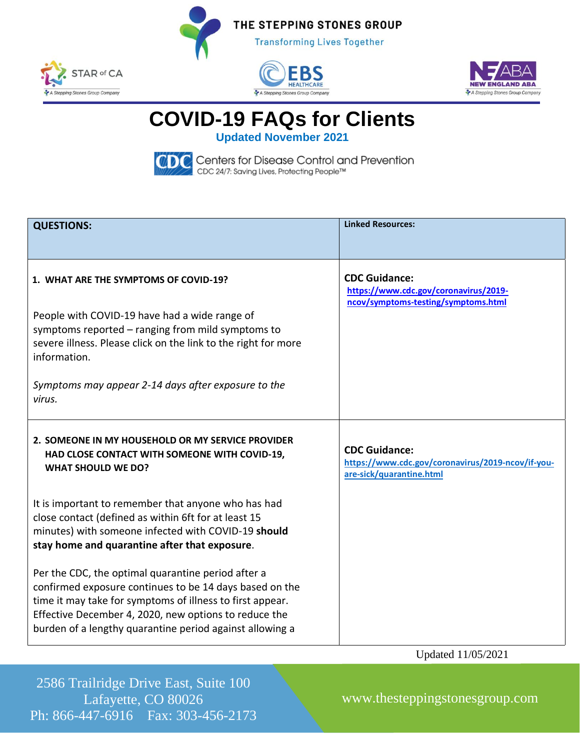







**COVID-19 FAQs for Clients**

**Updated November 2021**

CDC Centers for Disease Control and Prevention<br>cDC 24/7: Saving Lives, Protecting People™

| <b>QUESTIONS:</b>                                                                                                                                                                                                                                                                               | <b>Linked Resources:</b>                                                                              |
|-------------------------------------------------------------------------------------------------------------------------------------------------------------------------------------------------------------------------------------------------------------------------------------------------|-------------------------------------------------------------------------------------------------------|
| 1. WHAT ARE THE SYMPTOMS OF COVID-19?<br>People with COVID-19 have had a wide range of<br>symptoms reported - ranging from mild symptoms to<br>severe illness. Please click on the link to the right for more<br>information.<br>Symptoms may appear 2-14 days after exposure to the<br>virus.  | <b>CDC Guidance:</b><br>https://www.cdc.gov/coronavirus/2019-<br>ncov/symptoms-testing/symptoms.html  |
| 2. SOMEONE IN MY HOUSEHOLD OR MY SERVICE PROVIDER<br>HAD CLOSE CONTACT WITH SOMEONE WITH COVID-19,<br><b>WHAT SHOULD WE DO?</b>                                                                                                                                                                 | <b>CDC Guidance:</b><br>https://www.cdc.gov/coronavirus/2019-ncov/if-you-<br>are-sick/quarantine.html |
| It is important to remember that anyone who has had<br>close contact (defined as within 6ft for at least 15<br>minutes) with someone infected with COVID-19 should<br>stay home and quarantine after that exposure.                                                                             |                                                                                                       |
| Per the CDC, the optimal quarantine period after a<br>confirmed exposure continues to be 14 days based on the<br>time it may take for symptoms of illness to first appear.<br>Effective December 4, 2020, new options to reduce the<br>burden of a lengthy quarantine period against allowing a |                                                                                                       |

Updated 11/05/2021

2586 Trailridge Drive East, Suite 100 Lafayette, CO 80026 Ph: 866-447-6916 Fax: 303-456-2173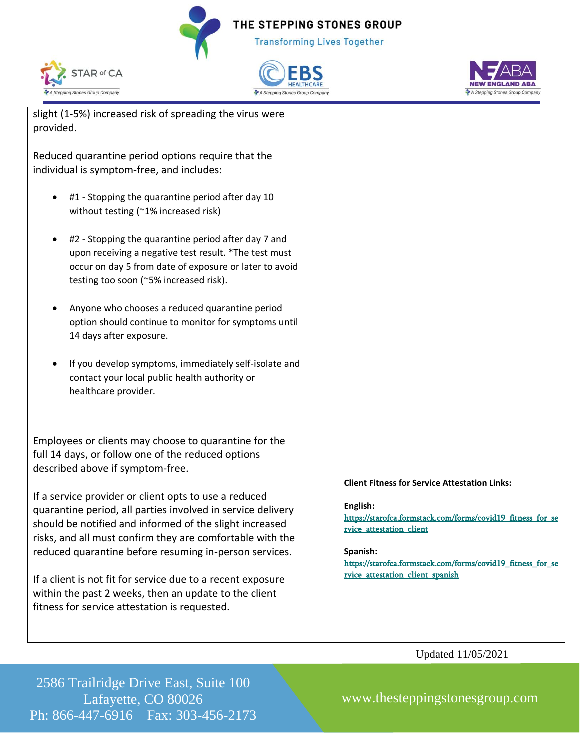THE STEPPING STONES GROUP **Transforming Lives Together** 







slight (1-5%) increased risk of spreading the virus were provided.

Reduced quarantine period options require that the individual is symptom-free, and includes:

- #1 Stopping the quarantine period after day 10 without testing (~1% increased risk)
- #2 Stopping the quarantine period after day 7 and upon receiving a negative test result. \*The test must occur on day 5 from date of exposure or later to avoid testing too soon (~5% increased risk).
- Anyone who chooses a reduced quarantine period option should continue to monitor for symptoms until 14 days after exposure.
- If you develop symptoms, immediately self-isolate and contact your local public health authority or healthcare provider.

Employees or clients may choose to quarantine for the full 14 days, or follow one of the reduced options described above if symptom-free.

If a service provider or client opts to use a reduced quarantine period, all parties involved in service delivery should be notified and informed of the slight increased risks, and all must confirm they are comfortable with the reduced quarantine before resuming in-person services.

If a client is not fit for service due to a recent exposure within the past 2 weeks, then an update to the client fitness for service attestation is requested.



## **English:**

[https://starofca.formstack.com/forms/covid19\\_fitness\\_for\\_se](https://starofca.formstack.com/forms/covid19_fitness_for_service_attestation_client) [rvice\\_attestation\\_client](https://starofca.formstack.com/forms/covid19_fitness_for_service_attestation_client)

## **Spanish:**

[https://starofca.formstack.com/forms/covid19\\_fitness\\_for\\_se](https://starofca.formstack.com/forms/covid19_fitness_for_service_attestation_client_spanish) [rvice\\_attestation\\_client\\_spanish](https://starofca.formstack.com/forms/covid19_fitness_for_service_attestation_client_spanish)

Updated 11/05/2021

2586 Trailridge Drive East, Suite 100 Lafayette, CO 80026 Ph: 866-447-6916 Fax: 303-456-2173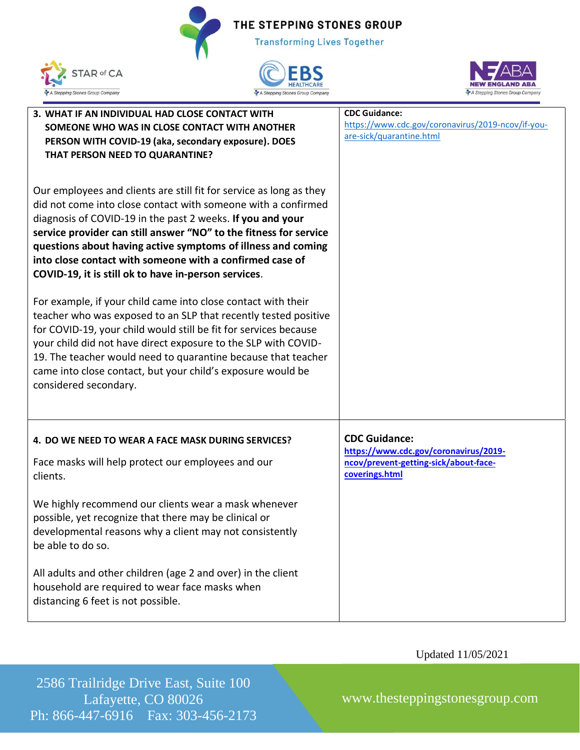**Transforming Lives Together** 







| 3. WHAT IF AN INDIVIDUAL HAD CLOSE CONTACT WITH<br>SOMEONE WHO WAS IN CLOSE CONTACT WITH ANOTHER<br>PERSON WITH COVID-19 (aka, secondary exposure). DOES<br>THAT PERSON NEED TO QUARANTINE?                                                                                                                                                                                                                                                                 | <b>CDC Guidance:</b><br>https://www.cdc.gov/coronavirus/2019-ncov/if-you-<br>are-sick/quarantine.html                    |
|-------------------------------------------------------------------------------------------------------------------------------------------------------------------------------------------------------------------------------------------------------------------------------------------------------------------------------------------------------------------------------------------------------------------------------------------------------------|--------------------------------------------------------------------------------------------------------------------------|
| Our employees and clients are still fit for service as long as they<br>did not come into close contact with someone with a confirmed<br>diagnosis of COVID-19 in the past 2 weeks. If you and your<br>service provider can still answer "NO" to the fitness for service<br>questions about having active symptoms of illness and coming<br>into close contact with someone with a confirmed case of<br>COVID-19, it is still ok to have in-person services. |                                                                                                                          |
| For example, if your child came into close contact with their<br>teacher who was exposed to an SLP that recently tested positive<br>for COVID-19, your child would still be fit for services because<br>your child did not have direct exposure to the SLP with COVID-<br>19. The teacher would need to quarantine because that teacher<br>came into close contact, but your child's exposure would be<br>considered secondary.                             |                                                                                                                          |
| 4. DO WE NEED TO WEAR A FACE MASK DURING SERVICES?<br>Face masks will help protect our employees and our<br>clients.<br>We highly recommend our clients wear a mask whenever                                                                                                                                                                                                                                                                                | <b>CDC Guidance:</b><br>https://www.cdc.gov/coronavirus/2019-<br>ncov/prevent-getting-sick/about-face-<br>coverings.html |
| possible, yet recognize that there may be clinical or<br>developmental reasons why a client may not consistently<br>be able to do so.<br>All adults and other children (age 2 and over) in the client                                                                                                                                                                                                                                                       |                                                                                                                          |
| household are required to wear face masks when<br>distancing 6 feet is not possible.                                                                                                                                                                                                                                                                                                                                                                        |                                                                                                                          |

Updated 11/05/2021

2586 Trailridge Drive East, Suite 100 Lafayette, CO 80026 Ph: 866-447-6916 Fax: 303-456-2173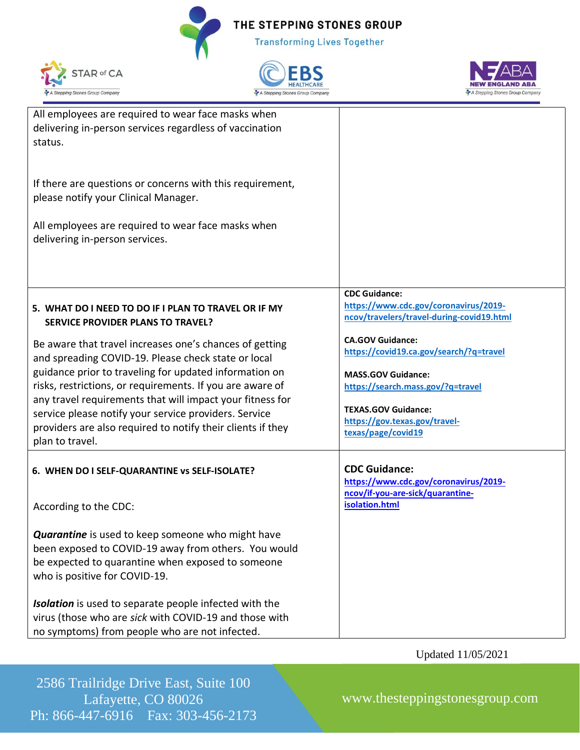**Transforming Lives Together** 







| All employees are required to wear face masks when<br>delivering in-person services regardless of vaccination<br>status.<br>If there are questions or concerns with this requirement,<br>please notify your Clinical Manager.<br>All employees are required to wear face masks when<br>delivering in-person services. |                                                                                                            |
|-----------------------------------------------------------------------------------------------------------------------------------------------------------------------------------------------------------------------------------------------------------------------------------------------------------------------|------------------------------------------------------------------------------------------------------------|
|                                                                                                                                                                                                                                                                                                                       |                                                                                                            |
| 5. WHAT DO I NEED TO DO IF I PLAN TO TRAVEL OR IF MY<br><b>SERVICE PROVIDER PLANS TO TRAVEL?</b>                                                                                                                                                                                                                      | <b>CDC Guidance:</b><br>https://www.cdc.gov/coronavirus/2019-<br>ncov/travelers/travel-during-covid19.html |
| Be aware that travel increases one's chances of getting<br>and spreading COVID-19. Please check state or local                                                                                                                                                                                                        | <b>CA.GOV Guidance:</b><br>https://covid19.ca.gov/search/?q=travel                                         |
| guidance prior to traveling for updated information on<br>risks, restrictions, or requirements. If you are aware of<br>any travel requirements that will impact your fitness for                                                                                                                                      | <b>MASS.GOV Guidance:</b><br>https://search.mass.gov/?q=travel                                             |
| service please notify your service providers. Service<br>providers are also required to notify their clients if they<br>plan to travel.                                                                                                                                                                               | <b>TEXAS.GOV Guidance:</b><br>https://gov.texas.gov/travel-<br>texas/page/covid19                          |
| 6. WHEN DO I SELF-QUARANTINE vs SELF-ISOLATE?                                                                                                                                                                                                                                                                         | <b>CDC Guidance:</b><br>https://www.cdc.gov/coronavirus/2019-                                              |
| According to the CDC:                                                                                                                                                                                                                                                                                                 | ncov/if-you-are-sick/quarantine-<br>isolation.html                                                         |
| <b>Quarantine</b> is used to keep someone who might have<br>been exposed to COVID-19 away from others. You would                                                                                                                                                                                                      |                                                                                                            |
| be expected to quarantine when exposed to someone<br>who is positive for COVID-19.                                                                                                                                                                                                                                    |                                                                                                            |
| Isolation is used to separate people infected with the<br>virus (those who are sick with COVID-19 and those with<br>no symptoms) from people who are not infected.                                                                                                                                                    |                                                                                                            |

Updated 11/05/2021

2586 Trailridge Drive East, Suite 100 Lafayette, CO 80026 Ph: 866-447-6916 Fax: 303-456-2173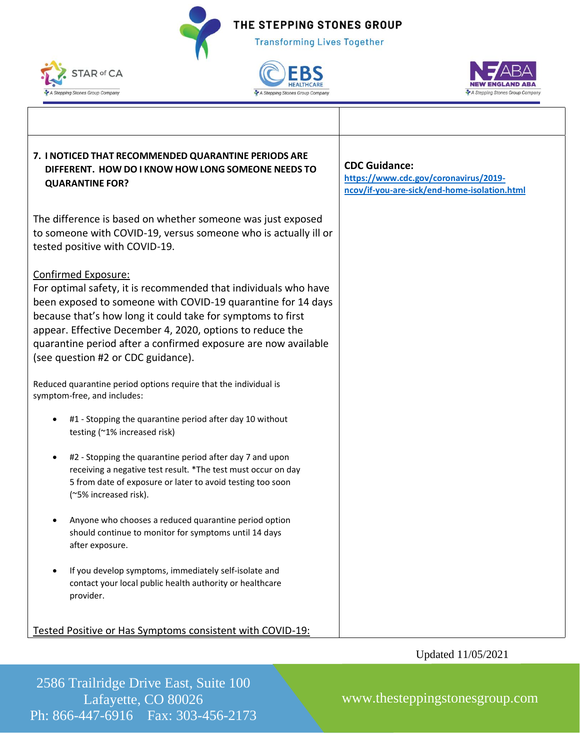**Transforming Lives Together** 









## Updated 11/05/2021

2586 Trailridge Drive East, Suite 100 Lafayette, CO 80026 Ph: 866-447-6916 Fax: 303-456-2173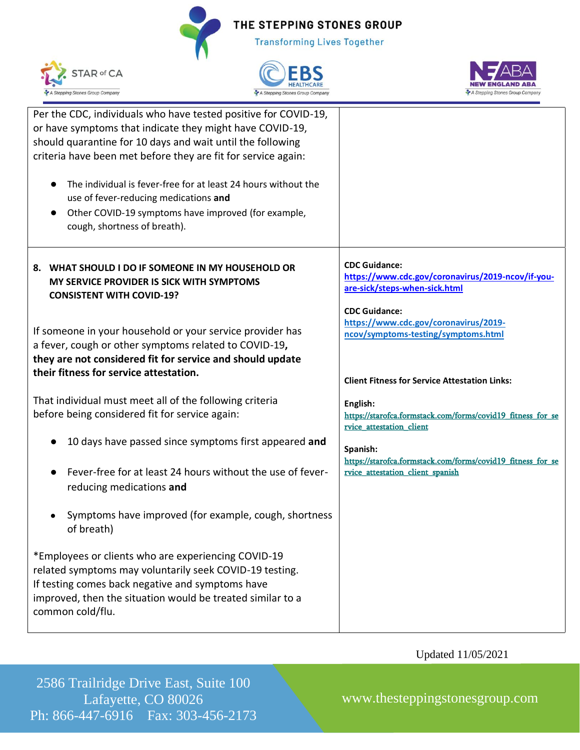**Transforming Lives Together** 







| Per the CDC, individuals who have tested positive for COVID-19, |                                                                           |
|-----------------------------------------------------------------|---------------------------------------------------------------------------|
| or have symptoms that indicate they might have COVID-19,        |                                                                           |
| should quarantine for 10 days and wait until the following      |                                                                           |
| criteria have been met before they are fit for service again:   |                                                                           |
|                                                                 |                                                                           |
| The individual is fever-free for at least 24 hours without the  |                                                                           |
| use of fever-reducing medications and                           |                                                                           |
| Other COVID-19 symptoms have improved (for example,             |                                                                           |
| $\bullet$                                                       |                                                                           |
| cough, shortness of breath).                                    |                                                                           |
|                                                                 |                                                                           |
| 8. WHAT SHOULD I DO IF SOMEONE IN MY HOUSEHOLD OR               | <b>CDC Guidance:</b><br>https://www.cdc.gov/coronavirus/2019-ncov/if-you- |
| MY SERVICE PROVIDER IS SICK WITH SYMPTOMS                       | are-sick/steps-when-sick.html                                             |
| <b>CONSISTENT WITH COVID-19?</b>                                |                                                                           |
|                                                                 | <b>CDC Guidance:</b>                                                      |
|                                                                 | https://www.cdc.gov/coronavirus/2019-                                     |
| If someone in your household or your service provider has       | ncov/symptoms-testing/symptoms.html                                       |
| a fever, cough or other symptoms related to COVID-19,           |                                                                           |
| they are not considered fit for service and should update       |                                                                           |
| their fitness for service attestation.                          | <b>Client Fitness for Service Attestation Links:</b>                      |
|                                                                 |                                                                           |
| That individual must meet all of the following criteria         | English:                                                                  |
| before being considered fit for service again:                  | https://starofca.formstack.com/forms/covid19 fitness for se               |
|                                                                 | rvice attestation client                                                  |
| 10 days have passed since symptoms first appeared and           |                                                                           |
|                                                                 | Spanish:<br>https://starofca.formstack.com/forms/covid19_fitness_for_se   |
| Fever-free for at least 24 hours without the use of fever-      | rvice attestation client spanish                                          |
|                                                                 |                                                                           |
| reducing medications and                                        |                                                                           |
| Symptoms have improved (for example, cough, shortness           |                                                                           |
| of breath)                                                      |                                                                           |
|                                                                 |                                                                           |
| *Employees or clients who are experiencing COVID-19             |                                                                           |
| related symptoms may voluntarily seek COVID-19 testing.         |                                                                           |
| If testing comes back negative and symptoms have                |                                                                           |
|                                                                 |                                                                           |
| improved, then the situation would be treated similar to a      |                                                                           |
| common cold/flu.                                                |                                                                           |
|                                                                 |                                                                           |

Updated 11/05/2021

2586 Trailridge Drive East, Suite 100 Lafayette, CO 80026 Ph: 866-447-6916 Fax: 303-456-2173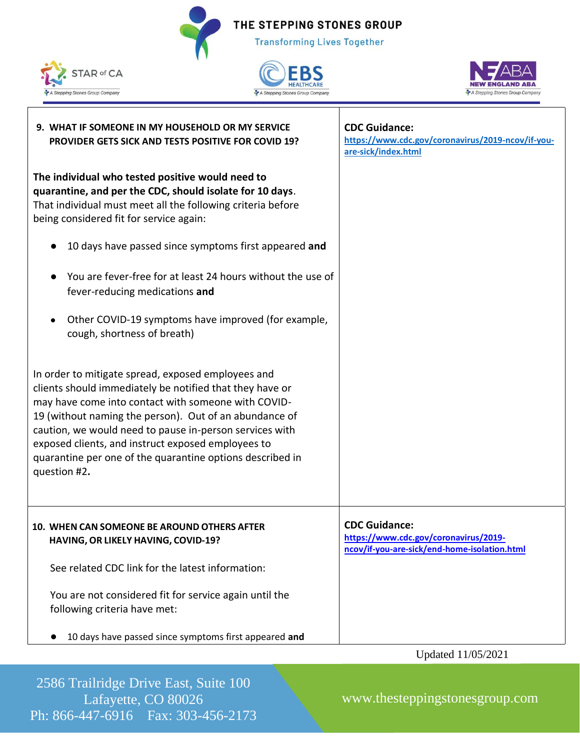**Transforming Lives Together** 







| 9. WHAT IF SOMEONE IN MY HOUSEHOLD OR MY SERVICE<br>PROVIDER GETS SICK AND TESTS POSITIVE FOR COVID 19?                                                                                                                                                                                                                                                                                                                       | <b>CDC Guidance:</b><br>https://www.cdc.gov/coronavirus/2019-ncov/if-you-<br>are-sick/index.html              |
|-------------------------------------------------------------------------------------------------------------------------------------------------------------------------------------------------------------------------------------------------------------------------------------------------------------------------------------------------------------------------------------------------------------------------------|---------------------------------------------------------------------------------------------------------------|
| The individual who tested positive would need to<br>quarantine, and per the CDC, should isolate for 10 days.<br>That individual must meet all the following criteria before<br>being considered fit for service again:                                                                                                                                                                                                        |                                                                                                               |
| 10 days have passed since symptoms first appeared and                                                                                                                                                                                                                                                                                                                                                                         |                                                                                                               |
| You are fever-free for at least 24 hours without the use of<br>fever-reducing medications and                                                                                                                                                                                                                                                                                                                                 |                                                                                                               |
| Other COVID-19 symptoms have improved (for example,<br>$\bullet$<br>cough, shortness of breath)                                                                                                                                                                                                                                                                                                                               |                                                                                                               |
| In order to mitigate spread, exposed employees and<br>clients should immediately be notified that they have or<br>may have come into contact with someone with COVID-<br>19 (without naming the person). Out of an abundance of<br>caution, we would need to pause in-person services with<br>exposed clients, and instruct exposed employees to<br>quarantine per one of the quarantine options described in<br>question #2. |                                                                                                               |
| 10. WHEN CAN SOMEONE BE AROUND OTHERS AFTER<br>HAVING, OR LIKELY HAVING, COVID-19?                                                                                                                                                                                                                                                                                                                                            | <b>CDC Guidance:</b><br>https://www.cdc.gov/coronavirus/2019-<br>ncov/if-you-are-sick/end-home-isolation.html |
| See related CDC link for the latest information:                                                                                                                                                                                                                                                                                                                                                                              |                                                                                                               |
| You are not considered fit for service again until the<br>following criteria have met:                                                                                                                                                                                                                                                                                                                                        |                                                                                                               |
| 10 days have passed since symptoms first appeared and                                                                                                                                                                                                                                                                                                                                                                         |                                                                                                               |
|                                                                                                                                                                                                                                                                                                                                                                                                                               | Updated 11/05/2021                                                                                            |

2586 Trailridge Drive East, Suite 100 Lafayette, CO 80026 Ph: 866-447-6916 Fax: 303-456-2173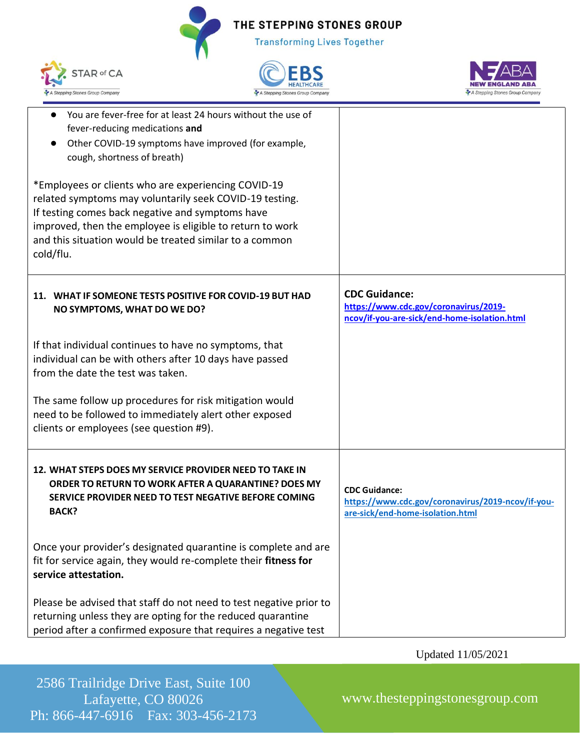**Transforming Lives Together** 







| You are fever-free for at least 24 hours without the use of<br>fever-reducing medications and<br>Other COVID-19 symptoms have improved (for example,<br>cough, shortness of breath)                                                                                                                     |                                                                                                               |
|---------------------------------------------------------------------------------------------------------------------------------------------------------------------------------------------------------------------------------------------------------------------------------------------------------|---------------------------------------------------------------------------------------------------------------|
| *Employees or clients who are experiencing COVID-19<br>related symptoms may voluntarily seek COVID-19 testing.<br>If testing comes back negative and symptoms have<br>improved, then the employee is eligible to return to work<br>and this situation would be treated similar to a common<br>cold/flu. |                                                                                                               |
| 11. WHAT IF SOMEONE TESTS POSITIVE FOR COVID-19 BUT HAD<br>NO SYMPTOMS, WHAT DO WE DO?                                                                                                                                                                                                                  | <b>CDC Guidance:</b><br>https://www.cdc.gov/coronavirus/2019-<br>ncov/if-you-are-sick/end-home-isolation.html |
| If that individual continues to have no symptoms, that<br>individual can be with others after 10 days have passed<br>from the date the test was taken.                                                                                                                                                  |                                                                                                               |
| The same follow up procedures for risk mitigation would<br>need to be followed to immediately alert other exposed<br>clients or employees (see question #9).                                                                                                                                            |                                                                                                               |
| 12. WHAT STEPS DOES MY SERVICE PROVIDER NEED TO TAKE IN<br>ORDER TO RETURN TO WORK AFTER A QUARANTINE? DOES MY<br>SERVICE PROVIDER NEED TO TEST NEGATIVE BEFORE COMING<br><b>BACK?</b>                                                                                                                  | <b>CDC Guidance:</b><br>https://www.cdc.gov/coronavirus/2019-ncov/if-you-<br>are-sick/end-home-isolation.html |
| Once your provider's designated quarantine is complete and are<br>fit for service again, they would re-complete their fitness for<br>service attestation.                                                                                                                                               |                                                                                                               |
| Please be advised that staff do not need to test negative prior to<br>returning unless they are opting for the reduced quarantine<br>period after a confirmed exposure that requires a negative test                                                                                                    |                                                                                                               |

Updated 11/05/2021

2586 Trailridge Drive East, Suite 100 Lafayette, CO 80026 Ph: 866-447-6916 Fax: 303-456-2173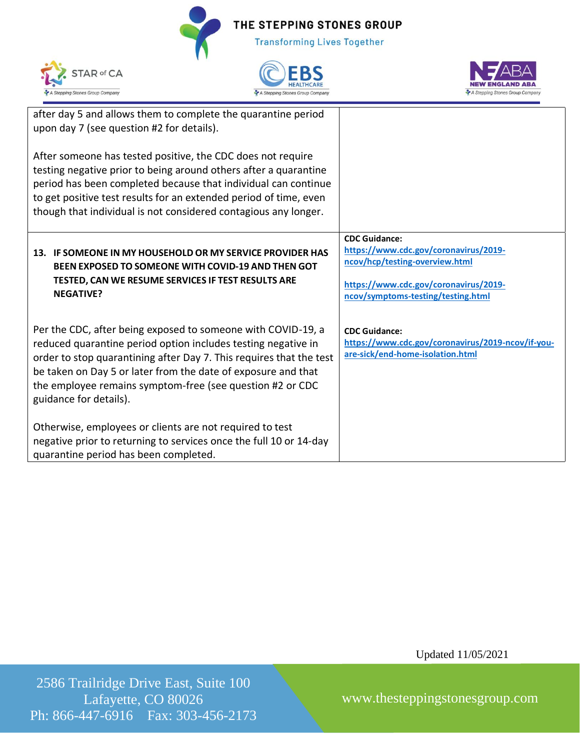| after day 5 and allows them to complete the quarantine period       |                                                   |
|---------------------------------------------------------------------|---------------------------------------------------|
| upon day 7 (see question #2 for details).                           |                                                   |
|                                                                     |                                                   |
| After someone has tested positive, the CDC does not require         |                                                   |
| testing negative prior to being around others after a quarantine    |                                                   |
| period has been completed because that individual can continue      |                                                   |
| to get positive test results for an extended period of time, even   |                                                   |
| though that individual is not considered contagious any longer.     |                                                   |
|                                                                     |                                                   |
|                                                                     | <b>CDC Guidance:</b>                              |
| 13. IF SOMEONE IN MY HOUSEHOLD OR MY SERVICE PROVIDER HAS           | https://www.cdc.gov/coronavirus/2019-             |
| BEEN EXPOSED TO SOMEONE WITH COVID-19 AND THEN GOT                  | ncov/hcp/testing-overview.html                    |
| TESTED, CAN WE RESUME SERVICES IF TEST RESULTS ARE                  |                                                   |
| <b>NEGATIVE?</b>                                                    | https://www.cdc.gov/coronavirus/2019-             |
|                                                                     | ncov/symptoms-testing/testing.html                |
|                                                                     |                                                   |
| Per the CDC, after being exposed to someone with COVID-19, a        | <b>CDC Guidance:</b>                              |
| reduced quarantine period option includes testing negative in       | https://www.cdc.gov/coronavirus/2019-ncov/if-you- |
| order to stop quarantining after Day 7. This requires that the test | are-sick/end-home-isolation.html                  |
| be taken on Day 5 or later from the date of exposure and that       |                                                   |
| the employee remains symptom-free (see question #2 or CDC           |                                                   |
| guidance for details).                                              |                                                   |
|                                                                     |                                                   |
| Otherwise, employees or clients are not required to test            |                                                   |
| negative prior to returning to services once the full 10 or 14-day  |                                                   |
| quarantine period has been completed.                               |                                                   |
|                                                                     |                                                   |

Updated 11/05/2021

**NEW ENGLAND ABA** 

A Stepping Stones Group Company

2586 Trailridge Drive East, Suite 100 Lafayette, CO 80026 Ph: 866-447-6916 Fax: 303-456-2173

www.thesteppingstonesgroup.com



STAR of CA

A Stepping Stones Group Company

THE STEPPING STONES GROUP

**Transforming Lives Together** 

EBS HEALTHCARE

A Stepping Stones Group Company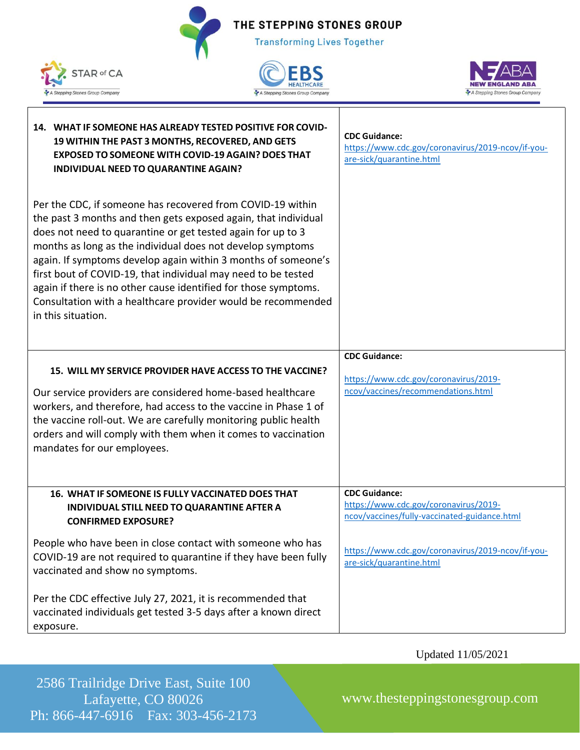THE STEPPING STONES GROUP **Transforming Lives Together** 







| 14. WHAT IF SOMEONE HAS ALREADY TESTED POSITIVE FOR COVID-<br>19 WITHIN THE PAST 3 MONTHS, RECOVERED, AND GETS<br><b>EXPOSED TO SOMEONE WITH COVID-19 AGAIN? DOES THAT</b><br>INDIVIDUAL NEED TO QUARANTINE AGAIN?                                                                                                                                                                                                                                                                                                                                   | <b>CDC Guidance:</b><br>https://www.cdc.gov/coronavirus/2019-ncov/if-you-<br>are-sick/quarantine.html         |
|------------------------------------------------------------------------------------------------------------------------------------------------------------------------------------------------------------------------------------------------------------------------------------------------------------------------------------------------------------------------------------------------------------------------------------------------------------------------------------------------------------------------------------------------------|---------------------------------------------------------------------------------------------------------------|
| Per the CDC, if someone has recovered from COVID-19 within<br>the past 3 months and then gets exposed again, that individual<br>does not need to quarantine or get tested again for up to 3<br>months as long as the individual does not develop symptoms<br>again. If symptoms develop again within 3 months of someone's<br>first bout of COVID-19, that individual may need to be tested<br>again if there is no other cause identified for those symptoms.<br>Consultation with a healthcare provider would be recommended<br>in this situation. |                                                                                                               |
|                                                                                                                                                                                                                                                                                                                                                                                                                                                                                                                                                      | <b>CDC Guidance:</b>                                                                                          |
| 15. WILL MY SERVICE PROVIDER HAVE ACCESS TO THE VACCINE?<br>Our service providers are considered home-based healthcare<br>workers, and therefore, had access to the vaccine in Phase 1 of<br>the vaccine roll-out. We are carefully monitoring public health<br>orders and will comply with them when it comes to vaccination<br>mandates for our employees.                                                                                                                                                                                         | https://www.cdc.gov/coronavirus/2019-<br>ncov/vaccines/recommendations.html                                   |
| 16. WHAT IF SOMEONE IS FULLY VACCINATED DOES THAT<br>INDIVIDUAL STILL NEED TO QUARANTINE AFTER A<br><b>CONFIRMED EXPOSURE?</b>                                                                                                                                                                                                                                                                                                                                                                                                                       | <b>CDC Guidance:</b><br>https://www.cdc.gov/coronavirus/2019-<br>ncov/vaccines/fully-vaccinated-guidance.html |
| People who have been in close contact with someone who has<br>COVID-19 are not required to quarantine if they have been fully<br>vaccinated and show no symptoms.                                                                                                                                                                                                                                                                                                                                                                                    | https://www.cdc.gov/coronavirus/2019-ncov/if-you-<br>are-sick/quarantine.html                                 |
| Per the CDC effective July 27, 2021, it is recommended that<br>vaccinated individuals get tested 3-5 days after a known direct<br>exposure.                                                                                                                                                                                                                                                                                                                                                                                                          |                                                                                                               |

Updated 11/05/2021

2586 Trailridge Drive East, Suite 100 Lafayette, CO 80026 Ph: 866-447-6916 Fax: 303-456-2173